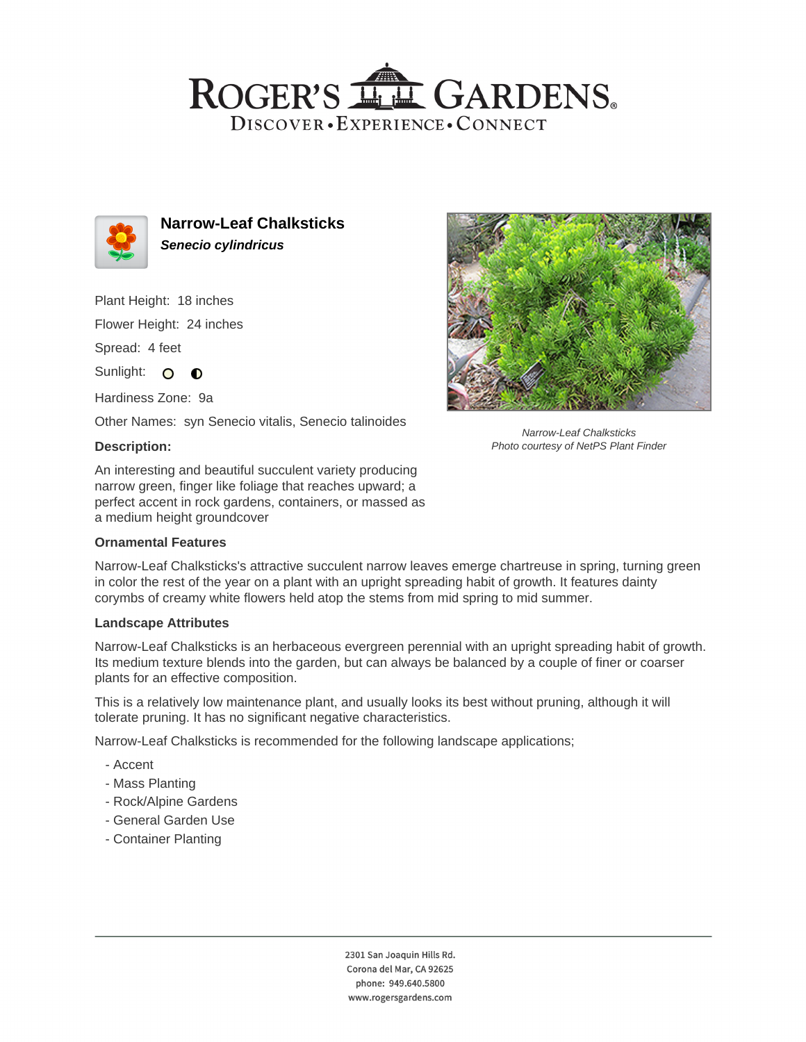## ROGER'S LL GARDENS. DISCOVER · EXPERIENCE · CONNECT



**Narrow-Leaf Chalksticks Senecio cylindricus**

Plant Height: 18 inches

Flower Height: 24 inches

Spread: 4 feet

Sunlight: O **O** 

Hardiness Zone: 9a

Other Names: syn Senecio vitalis, Senecio talinoides

#### **Description:**

An interesting and beautiful succulent variety producing narrow green, finger like foliage that reaches upward; a perfect accent in rock gardens, containers, or massed as a medium height groundcover

#### **Ornamental Features**



Narrow-Leaf Chalksticks Photo courtesy of NetPS Plant Finder

Narrow-Leaf Chalksticks's attractive succulent narrow leaves emerge chartreuse in spring, turning green in color the rest of the year on a plant with an upright spreading habit of growth. It features dainty corymbs of creamy white flowers held atop the stems from mid spring to mid summer.

#### **Landscape Attributes**

Narrow-Leaf Chalksticks is an herbaceous evergreen perennial with an upright spreading habit of growth. Its medium texture blends into the garden, but can always be balanced by a couple of finer or coarser plants for an effective composition.

This is a relatively low maintenance plant, and usually looks its best without pruning, although it will tolerate pruning. It has no significant negative characteristics.

Narrow-Leaf Chalksticks is recommended for the following landscape applications;

- Accent
- Mass Planting
- Rock/Alpine Gardens
- General Garden Use
- Container Planting

2301 San Joaquin Hills Rd. Corona del Mar, CA 92625 phone: 949.640.5800 www.rogersgardens.com